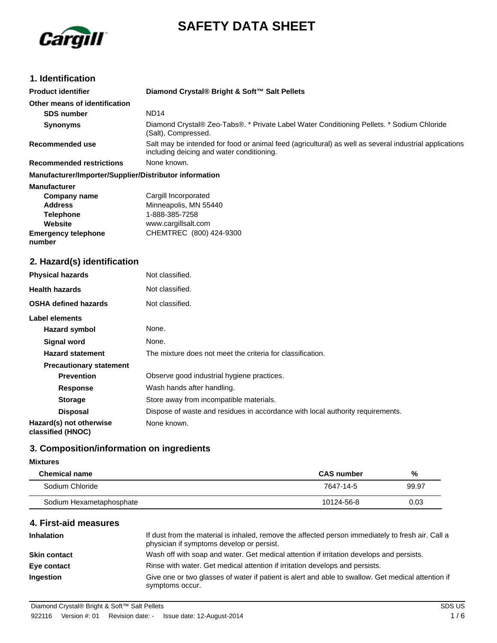



# **1. Identification**

| <b>Product identifier</b>                              | Diamond Crystal® Bright & Soft™ Salt Pellets                                                                                                        |
|--------------------------------------------------------|-----------------------------------------------------------------------------------------------------------------------------------------------------|
| Other means of identification                          |                                                                                                                                                     |
| <b>SDS number</b>                                      | <b>ND14</b>                                                                                                                                         |
| <b>Synonyms</b>                                        | Diamond Crystal® Zeo-Tabs®. * Private Label Water Conditioning Pellets. * Sodium Chloride<br>(Salt), Compressed.                                    |
| Recommended use                                        | Salt may be intended for food or animal feed (agricultural) as well as several industrial applications<br>including deicing and water conditioning. |
| <b>Recommended restrictions</b>                        | None known.                                                                                                                                         |
| Manufacturer/Importer/Supplier/Distributor information |                                                                                                                                                     |
| <b>Manufacturer</b>                                    |                                                                                                                                                     |
| Company name                                           | Cargill Incorporated                                                                                                                                |
| <b>Address</b>                                         | Minneapolis, MN 55440                                                                                                                               |
| <b>Telephone</b>                                       | 1-888-385-7258                                                                                                                                      |
| Website                                                | www.cargillsalt.com                                                                                                                                 |
| <b>Emergency telephone</b><br>number                   | CHEMTREC (800) 424-9300                                                                                                                             |

# **2. Hazard(s) identification**

| <b>Physical hazards</b>                      | Not classified.                                                                |  |  |
|----------------------------------------------|--------------------------------------------------------------------------------|--|--|
| <b>Health hazards</b>                        | Not classified.                                                                |  |  |
| <b>OSHA defined hazards</b>                  | Not classified.                                                                |  |  |
| Label elements                               |                                                                                |  |  |
| Hazard symbol                                | None.                                                                          |  |  |
| <b>Signal word</b>                           | None.                                                                          |  |  |
| <b>Hazard statement</b>                      | The mixture does not meet the criteria for classification.                     |  |  |
| <b>Precautionary statement</b>               |                                                                                |  |  |
| <b>Prevention</b>                            | Observe good industrial hygiene practices.                                     |  |  |
| <b>Response</b>                              | Wash hands after handling.                                                     |  |  |
| <b>Storage</b>                               | Store away from incompatible materials.                                        |  |  |
| <b>Disposal</b>                              | Dispose of waste and residues in accordance with local authority requirements. |  |  |
| Hazard(s) not otherwise<br>classified (HNOC) | None known.                                                                    |  |  |

## **3. Composition/information on ingredients**

### **Mixtures**

| <b>Chemical name</b>     | <b>CAS</b> number | %     |
|--------------------------|-------------------|-------|
| Sodium Chloride          | 7647-14-5         | 99.97 |
| Sodium Hexametaphosphate | 10124-56-8        | 0.03  |

## **4. First-aid measures**

| <b>Inhalation</b>   | If dust from the material is inhaled, remove the affected person immediately to fresh air. Call a<br>physician if symptoms develop or persist. |
|---------------------|------------------------------------------------------------------------------------------------------------------------------------------------|
| <b>Skin contact</b> | Wash off with soap and water. Get medical attention if irritation develops and persists.                                                       |
| Eye contact         | Rinse with water. Get medical attention if irritation develops and persists.                                                                   |
| Ingestion           | Give one or two glasses of water if patient is alert and able to swallow. Get medical attention if<br>symptoms occur.                          |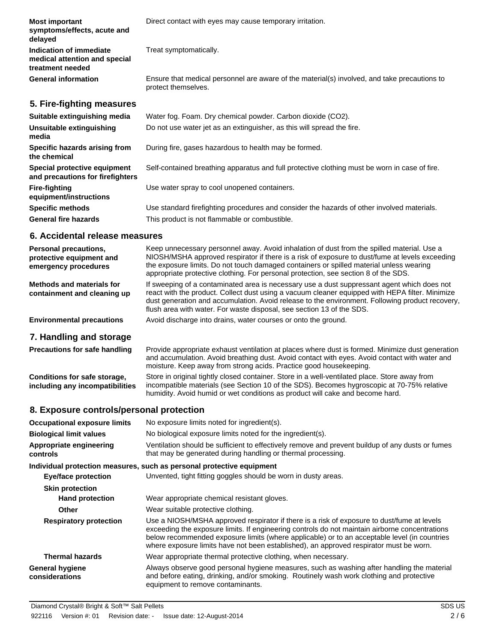| <b>Most important</b><br>symptoms/effects, acute and<br>delayed              | Direct contact with eyes may cause temporary irritation.                                                            |
|------------------------------------------------------------------------------|---------------------------------------------------------------------------------------------------------------------|
| Indication of immediate<br>medical attention and special<br>treatment needed | Treat symptomatically.                                                                                              |
| <b>General information</b>                                                   | Ensure that medical personnel are aware of the material(s) involved, and take precautions to<br>protect themselves. |
| 5. Fire-fighting measures                                                    |                                                                                                                     |
| Suitable extinguishing media                                                 | Water fog. Foam. Dry chemical powder. Carbon dioxide (CO2).                                                         |
| Unsuitable extinguishing<br>media                                            | Do not use water jet as an extinguisher, as this will spread the fire.                                              |
| Specific hazards arising from<br>the chemical                                | During fire, gases hazardous to health may be formed.                                                               |
| Special protective equipment<br>and precautions for firefighters             | Self-contained breathing apparatus and full protective clothing must be worn in case of fire.                       |
| <b>Fire-fighting</b><br>equipment/instructions                               | Use water spray to cool unopened containers.                                                                        |
| <b>Specific methods</b>                                                      | Use standard firefighting procedures and consider the hazards of other involved materials.                          |
| <b>General fire hazards</b>                                                  | This product is not flammable or combustible.                                                                       |

### **6. Accidental release measures**

| <b>Personal precautions,</b><br>protective equipment and<br>emergency procedures | Keep unnecessary personnel away. Avoid inhalation of dust from the spilled material. Use a<br>NIOSH/MSHA approved respirator if there is a risk of exposure to dust/fume at levels exceeding<br>the exposure limits. Do not touch damaged containers or spilled material unless wearing<br>appropriate protective clothing. For personal protection, see section 8 of the SDS. |
|----------------------------------------------------------------------------------|--------------------------------------------------------------------------------------------------------------------------------------------------------------------------------------------------------------------------------------------------------------------------------------------------------------------------------------------------------------------------------|
| Methods and materials for<br>containment and cleaning up                         | If sweeping of a contaminated area is necessary use a dust suppressant agent which does not<br>react with the product. Collect dust using a vacuum cleaner equipped with HEPA filter. Minimize<br>dust generation and accumulation. Avoid release to the environment. Following product recovery,<br>flush area with water. For waste disposal, see section 13 of the SDS.     |
| <b>Environmental precautions</b>                                                 | Avoid discharge into drains, water courses or onto the ground.                                                                                                                                                                                                                                                                                                                 |

# **7. Handling and storage**

| <b>Precautions for safe handling</b> | Provide appropriate exhaust ventilation at places where dust is formed. Minimize dust generation<br>and accumulation. Avoid breathing dust. Avoid contact with eyes. Avoid contact with water and<br>moisture. Keep away from strong acids. Practice good housekeeping. |
|--------------------------------------|-------------------------------------------------------------------------------------------------------------------------------------------------------------------------------------------------------------------------------------------------------------------------|
| Conditions for safe storage,         | Store in original tightly closed container. Store in a well-ventilated place. Store away from                                                                                                                                                                           |
| including any incompatibilities      | incompatible materials (see Section 10 of the SDS). Becomes hygroscopic at 70-75% relative                                                                                                                                                                              |

humidity. Avoid humid or wet conditions as product will cake and become hard.

# **8. Exposure controls/personal protection**

| <b>Occupational exposure limits</b>      | No exposure limits noted for ingredient(s).                                                                                                                                                                                                                                                                                                                                            |  |  |
|------------------------------------------|----------------------------------------------------------------------------------------------------------------------------------------------------------------------------------------------------------------------------------------------------------------------------------------------------------------------------------------------------------------------------------------|--|--|
| <b>Biological limit values</b>           | No biological exposure limits noted for the ingredient(s).                                                                                                                                                                                                                                                                                                                             |  |  |
| Appropriate engineering<br>controls      | Ventilation should be sufficient to effectively remove and prevent buildup of any dusts or fumes<br>that may be generated during handling or thermal processing.                                                                                                                                                                                                                       |  |  |
|                                          | Individual protection measures, such as personal protective equipment                                                                                                                                                                                                                                                                                                                  |  |  |
| <b>Eye/face protection</b>               | Unvented, tight fitting goggles should be worn in dusty areas.                                                                                                                                                                                                                                                                                                                         |  |  |
| <b>Skin protection</b>                   |                                                                                                                                                                                                                                                                                                                                                                                        |  |  |
| <b>Hand protection</b>                   | Wear appropriate chemical resistant gloves.                                                                                                                                                                                                                                                                                                                                            |  |  |
| <b>Other</b>                             | Wear suitable protective clothing.                                                                                                                                                                                                                                                                                                                                                     |  |  |
| <b>Respiratory protection</b>            | Use a NIOSH/MSHA approved respirator if there is a risk of exposure to dust/fume at levels<br>exceeding the exposure limits. If engineering controls do not maintain airborne concentrations<br>below recommended exposure limits (where applicable) or to an acceptable level (in countries<br>where exposure limits have not been established), an approved respirator must be worn. |  |  |
| <b>Thermal hazards</b>                   | Wear appropriate thermal protective clothing, when necessary.                                                                                                                                                                                                                                                                                                                          |  |  |
| <b>General hygiene</b><br>considerations | Always observe good personal hygiene measures, such as washing after handling the material<br>and before eating, drinking, and/or smoking. Routinely wash work clothing and protective<br>equipment to remove contaminants.                                                                                                                                                            |  |  |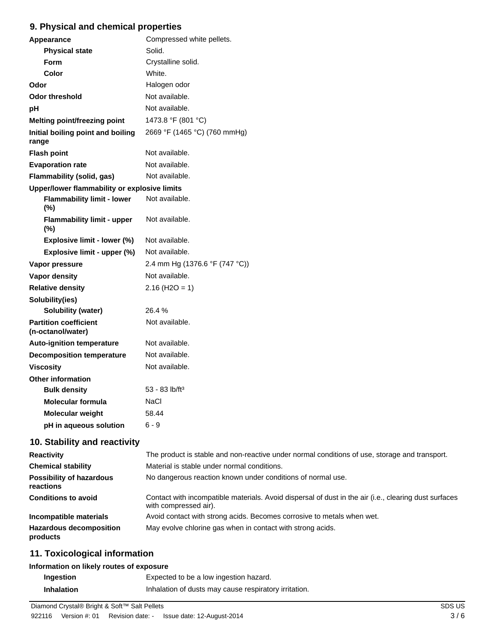# **9. Physical and chemical properties**

| Appearance                                        | Compressed white pellets.      |  |  |  |
|---------------------------------------------------|--------------------------------|--|--|--|
| <b>Physical state</b>                             | Solid.                         |  |  |  |
| <b>Form</b>                                       | Crystalline solid.             |  |  |  |
| <b>Color</b>                                      | White.                         |  |  |  |
| Odor                                              | Halogen odor                   |  |  |  |
| <b>Odor threshold</b>                             | Not available.                 |  |  |  |
| рH                                                | Not available.                 |  |  |  |
| Melting point/freezing point                      | 1473.8 °F (801 °C)             |  |  |  |
| Initial boiling point and boiling<br>range        | 2669 °F (1465 °C) (760 mmHg)   |  |  |  |
| <b>Flash point</b>                                | Not available.                 |  |  |  |
| <b>Evaporation rate</b>                           | Not available.                 |  |  |  |
| Flammability (solid, gas)                         | Not available.                 |  |  |  |
| Upper/lower flammability or explosive limits      |                                |  |  |  |
| <b>Flammability limit - lower</b><br>(%)          | Not available.                 |  |  |  |
| <b>Flammability limit - upper</b><br>(%)          | Not available.                 |  |  |  |
| Explosive limit - lower (%)                       | Not available.                 |  |  |  |
| Explosive limit - upper (%)                       | Not available.                 |  |  |  |
| Vapor pressure                                    | 2.4 mm Hg (1376.6 °F (747 °C)) |  |  |  |
| Vapor density                                     | Not available.                 |  |  |  |
| <b>Relative density</b>                           | $2.16$ (H <sub>2</sub> O = 1)  |  |  |  |
| Solubility(ies)                                   |                                |  |  |  |
| <b>Solubility (water)</b>                         | 26.4 %                         |  |  |  |
| <b>Partition coefficient</b><br>(n-octanol/water) | Not available.                 |  |  |  |
| <b>Auto-ignition temperature</b>                  | Not available.                 |  |  |  |
| <b>Decomposition temperature</b>                  | Not available.                 |  |  |  |
| <b>Viscosity</b>                                  | Not available.                 |  |  |  |
| <b>Other information</b>                          |                                |  |  |  |
| <b>Bulk density</b>                               | 53 - 83 lb/ft <sup>3</sup>     |  |  |  |
| <b>Molecular formula</b>                          | NaCl                           |  |  |  |
| Molecular weight                                  | 58.44                          |  |  |  |
| pH in aqueous solution                            | $6 - 9$                        |  |  |  |

# **10. Stability and reactivity**

| <b>Reactivity</b>                            | The product is stable and non-reactive under normal conditions of use, storage and transport.                                  |
|----------------------------------------------|--------------------------------------------------------------------------------------------------------------------------------|
| <b>Chemical stability</b>                    | Material is stable under normal conditions.                                                                                    |
| <b>Possibility of hazardous</b><br>reactions | No dangerous reaction known under conditions of normal use.                                                                    |
| <b>Conditions to avoid</b>                   | Contact with incompatible materials. Avoid dispersal of dust in the air (i.e., clearing dust surfaces<br>with compressed air). |
| Incompatible materials                       | Avoid contact with strong acids. Becomes corrosive to metals when wet.                                                         |
| <b>Hazardous decomposition</b><br>products   | May evolve chlorine gas when in contact with strong acids.                                                                     |

## **11. Toxicological information**

### **Information on likely routes of exposure**

| Ingestion         | Expected to be a low ingestion hazard.                |
|-------------------|-------------------------------------------------------|
| <b>Inhalation</b> | Inhalation of dusts may cause respiratory irritation. |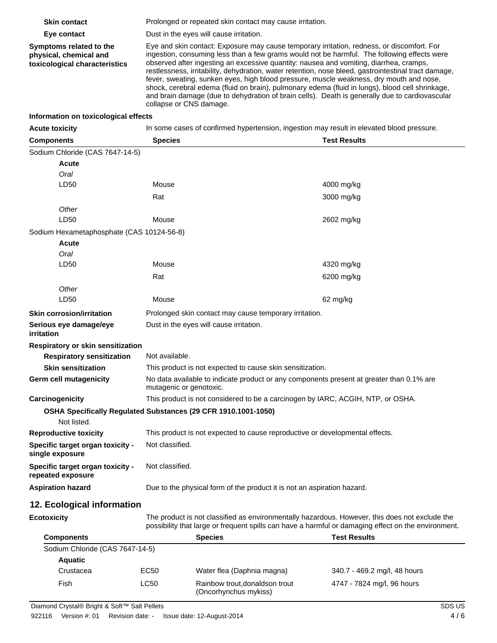| <b>Skin contact</b>                                                                | Prolonged or repeated skin contact may cause irritation.                                                                                                                                                                                                                                                                                                                                                                                                                                                                                                                                                                                                                                                               |                                                                                 |                              |  |
|------------------------------------------------------------------------------------|------------------------------------------------------------------------------------------------------------------------------------------------------------------------------------------------------------------------------------------------------------------------------------------------------------------------------------------------------------------------------------------------------------------------------------------------------------------------------------------------------------------------------------------------------------------------------------------------------------------------------------------------------------------------------------------------------------------------|---------------------------------------------------------------------------------|------------------------------|--|
| Eye contact                                                                        | Dust in the eyes will cause irritation.                                                                                                                                                                                                                                                                                                                                                                                                                                                                                                                                                                                                                                                                                |                                                                                 |                              |  |
| Symptoms related to the<br>physical, chemical and<br>toxicological characteristics | Eye and skin contact: Exposure may cause temporary irritation, redness, or discomfort. For<br>ingestion, consuming less than a few grams would not be harmful. The following effects were<br>observed after ingesting an excessive quantity: nausea and vomiting, diarrhea, cramps,<br>restlessness, irritability, dehydration, water retention, nose bleed, gastrointestinal tract damage,<br>fever, sweating, sunken eyes, high blood pressure, muscle weakness, dry mouth and nose,<br>shock, cerebral edema (fluid on brain), pulmonary edema (fluid in lungs), blood cell shrinkage,<br>and brain damage (due to dehydration of brain cells). Death is generally due to cardiovascular<br>collapse or CNS damage. |                                                                                 |                              |  |
| Information on toxicological effects                                               |                                                                                                                                                                                                                                                                                                                                                                                                                                                                                                                                                                                                                                                                                                                        |                                                                                 |                              |  |
| <b>Acute toxicity</b>                                                              | In some cases of confirmed hypertension, ingestion may result in elevated blood pressure.                                                                                                                                                                                                                                                                                                                                                                                                                                                                                                                                                                                                                              |                                                                                 |                              |  |
| <b>Components</b>                                                                  | <b>Species</b>                                                                                                                                                                                                                                                                                                                                                                                                                                                                                                                                                                                                                                                                                                         | <b>Test Results</b>                                                             |                              |  |
| Sodium Chloride (CAS 7647-14-5)                                                    |                                                                                                                                                                                                                                                                                                                                                                                                                                                                                                                                                                                                                                                                                                                        |                                                                                 |                              |  |
| Acute                                                                              |                                                                                                                                                                                                                                                                                                                                                                                                                                                                                                                                                                                                                                                                                                                        |                                                                                 |                              |  |
| Oral                                                                               |                                                                                                                                                                                                                                                                                                                                                                                                                                                                                                                                                                                                                                                                                                                        |                                                                                 |                              |  |
| LD50                                                                               | Mouse                                                                                                                                                                                                                                                                                                                                                                                                                                                                                                                                                                                                                                                                                                                  |                                                                                 | 4000 mg/kg                   |  |
|                                                                                    | Rat                                                                                                                                                                                                                                                                                                                                                                                                                                                                                                                                                                                                                                                                                                                    |                                                                                 | 3000 mg/kg                   |  |
| Other                                                                              |                                                                                                                                                                                                                                                                                                                                                                                                                                                                                                                                                                                                                                                                                                                        |                                                                                 |                              |  |
| LD50                                                                               | Mouse                                                                                                                                                                                                                                                                                                                                                                                                                                                                                                                                                                                                                                                                                                                  |                                                                                 | 2602 mg/kg                   |  |
| Sodium Hexametaphosphate (CAS 10124-56-8)                                          |                                                                                                                                                                                                                                                                                                                                                                                                                                                                                                                                                                                                                                                                                                                        |                                                                                 |                              |  |
| Acute                                                                              |                                                                                                                                                                                                                                                                                                                                                                                                                                                                                                                                                                                                                                                                                                                        |                                                                                 |                              |  |
| Oral                                                                               |                                                                                                                                                                                                                                                                                                                                                                                                                                                                                                                                                                                                                                                                                                                        |                                                                                 |                              |  |
| LD50                                                                               | Mouse                                                                                                                                                                                                                                                                                                                                                                                                                                                                                                                                                                                                                                                                                                                  |                                                                                 | 4320 mg/kg                   |  |
|                                                                                    | Rat                                                                                                                                                                                                                                                                                                                                                                                                                                                                                                                                                                                                                                                                                                                    |                                                                                 | 6200 mg/kg                   |  |
| Other                                                                              |                                                                                                                                                                                                                                                                                                                                                                                                                                                                                                                                                                                                                                                                                                                        |                                                                                 |                              |  |
| LD50                                                                               | Mouse<br>62 mg/kg                                                                                                                                                                                                                                                                                                                                                                                                                                                                                                                                                                                                                                                                                                      |                                                                                 |                              |  |
| <b>Skin corrosion/irritation</b>                                                   | Prolonged skin contact may cause temporary irritation.                                                                                                                                                                                                                                                                                                                                                                                                                                                                                                                                                                                                                                                                 |                                                                                 |                              |  |
| Serious eye damage/eye<br>irritation                                               | Dust in the eyes will cause irritation.                                                                                                                                                                                                                                                                                                                                                                                                                                                                                                                                                                                                                                                                                |                                                                                 |                              |  |
| Respiratory or skin sensitization                                                  |                                                                                                                                                                                                                                                                                                                                                                                                                                                                                                                                                                                                                                                                                                                        |                                                                                 |                              |  |
| <b>Respiratory sensitization</b>                                                   | Not available.                                                                                                                                                                                                                                                                                                                                                                                                                                                                                                                                                                                                                                                                                                         |                                                                                 |                              |  |
| <b>Skin sensitization</b>                                                          |                                                                                                                                                                                                                                                                                                                                                                                                                                                                                                                                                                                                                                                                                                                        | This product is not expected to cause skin sensitization.                       |                              |  |
| Germ cell mutagenicity                                                             | No data available to indicate product or any components present at greater than 0.1% are<br>mutagenic or genotoxic.                                                                                                                                                                                                                                                                                                                                                                                                                                                                                                                                                                                                    |                                                                                 |                              |  |
| Carcinogenicity                                                                    |                                                                                                                                                                                                                                                                                                                                                                                                                                                                                                                                                                                                                                                                                                                        | This product is not considered to be a carcinogen by IARC, ACGIH, NTP, or OSHA. |                              |  |
| OSHA Specifically Regulated Substances (29 CFR 1910.1001-1050)<br>Not listed.      |                                                                                                                                                                                                                                                                                                                                                                                                                                                                                                                                                                                                                                                                                                                        |                                                                                 |                              |  |
| <b>Reproductive toxicity</b>                                                       |                                                                                                                                                                                                                                                                                                                                                                                                                                                                                                                                                                                                                                                                                                                        | This product is not expected to cause reproductive or developmental effects.    |                              |  |
| Specific target organ toxicity -<br>single exposure                                | Not classified.                                                                                                                                                                                                                                                                                                                                                                                                                                                                                                                                                                                                                                                                                                        |                                                                                 |                              |  |
| Specific target organ toxicity -<br>repeated exposure                              | Not classified.                                                                                                                                                                                                                                                                                                                                                                                                                                                                                                                                                                                                                                                                                                        |                                                                                 |                              |  |
| <b>Aspiration hazard</b>                                                           | Due to the physical form of the product it is not an aspiration hazard.                                                                                                                                                                                                                                                                                                                                                                                                                                                                                                                                                                                                                                                |                                                                                 |                              |  |
| 12. Ecological information                                                         |                                                                                                                                                                                                                                                                                                                                                                                                                                                                                                                                                                                                                                                                                                                        |                                                                                 |                              |  |
| <b>Ecotoxicity</b>                                                                 | The product is not classified as environmentally hazardous. However, this does not exclude the<br>possibility that large or frequent spills can have a harmful or damaging effect on the environment.                                                                                                                                                                                                                                                                                                                                                                                                                                                                                                                  |                                                                                 |                              |  |
| <b>Components</b>                                                                  |                                                                                                                                                                                                                                                                                                                                                                                                                                                                                                                                                                                                                                                                                                                        | <b>Species</b>                                                                  | <b>Test Results</b>          |  |
| Sodium Chloride (CAS 7647-14-5)                                                    |                                                                                                                                                                                                                                                                                                                                                                                                                                                                                                                                                                                                                                                                                                                        |                                                                                 |                              |  |
| <b>Aquatic</b>                                                                     |                                                                                                                                                                                                                                                                                                                                                                                                                                                                                                                                                                                                                                                                                                                        |                                                                                 |                              |  |
| Crustacea                                                                          | EC50                                                                                                                                                                                                                                                                                                                                                                                                                                                                                                                                                                                                                                                                                                                   | Water flea (Daphnia magna)                                                      | 340.7 - 469.2 mg/l, 48 hours |  |
| Fish                                                                               | LC50                                                                                                                                                                                                                                                                                                                                                                                                                                                                                                                                                                                                                                                                                                                   | Rainbow trout, donaldson trout<br>(Oncorhynchus mykiss)                         | 4747 - 7824 mg/l, 96 hours   |  |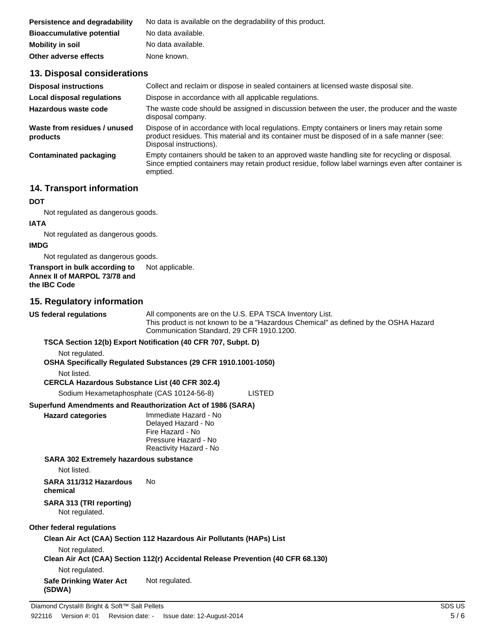| Persistence and degradability    | No data is available on the degradability of this product. |
|----------------------------------|------------------------------------------------------------|
| <b>Bioaccumulative potential</b> | No data available.                                         |
| <b>Mobility in soil</b>          | No data available.                                         |
| Other adverse effects            | None known.                                                |

### **13. Disposal considerations**

| <b>Disposal instructions</b>             | Collect and reclaim or dispose in sealed containers at licensed waste disposal site.                                                                                                                                   |
|------------------------------------------|------------------------------------------------------------------------------------------------------------------------------------------------------------------------------------------------------------------------|
| <b>Local disposal regulations</b>        | Dispose in accordance with all applicable regulations.                                                                                                                                                                 |
| Hazardous waste code                     | The waste code should be assigned in discussion between the user, the producer and the waste<br>disposal company.                                                                                                      |
| Waste from residues / unused<br>products | Dispose of in accordance with local regulations. Empty containers or liners may retain some<br>product residues. This material and its container must be disposed of in a safe manner (see:<br>Disposal instructions). |
| Contaminated packaging                   | Empty containers should be taken to an approved waste handling site for recycling or disposal.<br>Since emptied containers may retain product residue, follow label warnings even after container is<br>emptied.       |

## **14. Transport information**

### **DOT**

Not regulated as dangerous goods.

### **IATA**

Not regulated as dangerous goods.

### **IMDG**

Not regulated as dangerous goods.

## **Transport in bulk according to** Not applicable. **Annex II of MARPOL 73/78 and**

**the IBC Code**

## **15. Regulatory information**

**US federal regulations** All components are on the U.S. EPA TSCA Inventory List. This product is not known to be a "Hazardous Chemical" as defined by the OSHA Hazard Communication Standard, 29 CFR 1910.1200.

### **TSCA Section 12(b) Export Notification (40 CFR 707, Subpt. D)**

Not regulated.

### **OSHA Specifically Regulated Substances (29 CFR 1910.1001-1050)**

Not listed.

### **CERCLA Hazardous Substance List (40 CFR 302.4)**

Sodium Hexametaphosphate (CAS 10124-56-8) LISTED

### **Superfund Amendments and Reauthorization Act of 1986 (SARA)**

| <b>Hazard categories</b> | Immediate Hazard - No  |
|--------------------------|------------------------|
|                          | Delayed Hazard - No    |
|                          | Fire Hazard - No       |
|                          | Pressure Hazard - No   |
|                          | Reactivity Hazard - No |

No

### **SARA 302 Extremely hazardous substance**

Not listed.

#### **SARA 311/312 Hazardous chemical**

**SARA 313 (TRI reporting)**

Not regulated.

### **Other federal regulations**

## **Clean Air Act (CAA) Section 112 Hazardous Air Pollutants (HAPs) List** Not regulated. **Clean Air Act (CAA) Section 112(r) Accidental Release Prevention (40 CFR 68.130)** Not regulated.

**Safe Drinking Water Act (SDWA)** Not regulated.